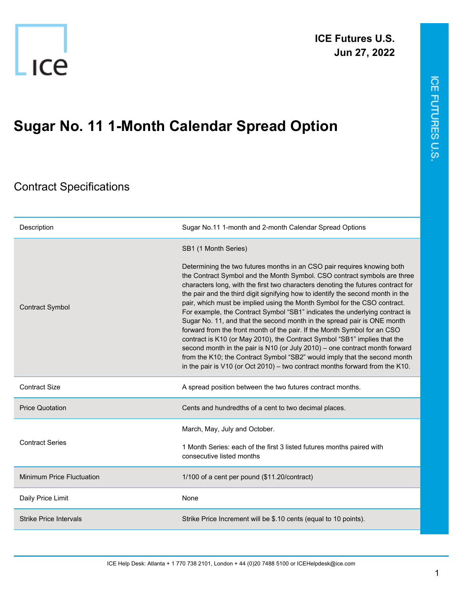

## **Sugar No. 11 1-Month Calendar Spread Option**

## Contract Specifications

| Description                   | Sugar No.11 1-month and 2-month Calendar Spread Options                                                                                                                                                                                                                                                                                                                                                                                                                                                                                                                                                                                                                                                                                                                                                                                                                                                                                                                 |
|-------------------------------|-------------------------------------------------------------------------------------------------------------------------------------------------------------------------------------------------------------------------------------------------------------------------------------------------------------------------------------------------------------------------------------------------------------------------------------------------------------------------------------------------------------------------------------------------------------------------------------------------------------------------------------------------------------------------------------------------------------------------------------------------------------------------------------------------------------------------------------------------------------------------------------------------------------------------------------------------------------------------|
| <b>Contract Symbol</b>        | SB1 (1 Month Series)                                                                                                                                                                                                                                                                                                                                                                                                                                                                                                                                                                                                                                                                                                                                                                                                                                                                                                                                                    |
|                               | Determining the two futures months in an CSO pair requires knowing both<br>the Contract Symbol and the Month Symbol. CSO contract symbols are three<br>characters long, with the first two characters denoting the futures contract for<br>the pair and the third digit signifying how to identify the second month in the<br>pair, which must be implied using the Month Symbol for the CSO contract.<br>For example, the Contract Symbol "SB1" indicates the underlying contract is<br>Sugar No. 11, and that the second month in the spread pair is ONE month<br>forward from the front month of the pair. If the Month Symbol for an CSO<br>contract is K10 (or May 2010), the Contract Symbol "SB1" implies that the<br>second month in the pair is N10 (or July 2010) - one contract month forward<br>from the K10; the Contract Symbol "SB2" would imply that the second month<br>in the pair is $V10$ (or Oct 2010) – two contract months forward from the K10. |
| <b>Contract Size</b>          | A spread position between the two futures contract months.                                                                                                                                                                                                                                                                                                                                                                                                                                                                                                                                                                                                                                                                                                                                                                                                                                                                                                              |
| <b>Price Quotation</b>        | Cents and hundredths of a cent to two decimal places.                                                                                                                                                                                                                                                                                                                                                                                                                                                                                                                                                                                                                                                                                                                                                                                                                                                                                                                   |
| <b>Contract Series</b>        | March, May, July and October.<br>1 Month Series: each of the first 3 listed futures months paired with<br>consecutive listed months                                                                                                                                                                                                                                                                                                                                                                                                                                                                                                                                                                                                                                                                                                                                                                                                                                     |
| Minimum Price Fluctuation     | 1/100 of a cent per pound (\$11.20/contract)                                                                                                                                                                                                                                                                                                                                                                                                                                                                                                                                                                                                                                                                                                                                                                                                                                                                                                                            |
| Daily Price Limit             | None                                                                                                                                                                                                                                                                                                                                                                                                                                                                                                                                                                                                                                                                                                                                                                                                                                                                                                                                                                    |
| <b>Strike Price Intervals</b> | Strike Price Increment will be \$.10 cents (equal to 10 points).                                                                                                                                                                                                                                                                                                                                                                                                                                                                                                                                                                                                                                                                                                                                                                                                                                                                                                        |